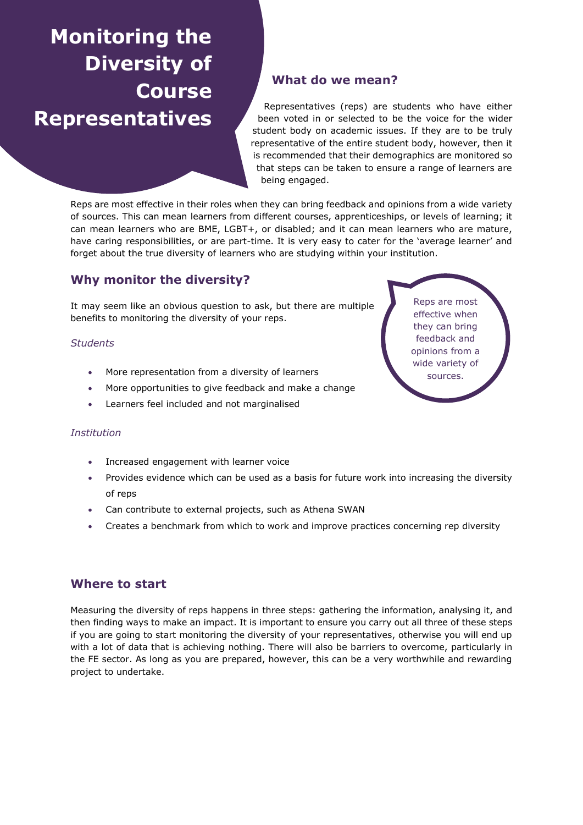# **Monitoring the Diversity of Course Representatives**

# **What do we mean?**

Representatives (reps) are students who have either been voted in or selected to be the voice for the wider student body on academic issues. If they are to be truly representative of the entire student body, however, then it is recommended that their demographics are monitored so that steps can be taken to ensure a range of learners are being engaged.

Reps are most effective in their roles when they can bring feedback and opinions from a wide variety of sources. This can mean learners from different courses, apprenticeships, or levels of learning; it can mean learners who are BME, LGBT+, or disabled; and it can mean learners who are mature, have caring responsibilities, or are part-time. It is very easy to cater for the 'average learner' and forget about the true diversity of learners who are studying within your institution.

# **Why monitor the diversity?**

It may seem like an obvious question to ask, but there are multiple benefits to monitoring the diversity of your reps.

#### *Students*

- More representation from a diversity of learners
- More opportunities to give feedback and make a change
- Learners feel included and not marginalised

#### *Institution*

- Increased engagement with learner voice
- Provides evidence which can be used as a basis for future work into increasing the diversity of reps
- Can contribute to external projects, such as Athena SWAN
- Creates a benchmark from which to work and improve practices concerning rep diversity

## **Where to start**

Measuring the diversity of reps happens in three steps: gathering the information, analysing it, and then finding ways to make an impact. It is important to ensure you carry out all three of these steps if you are going to start monitoring the diversity of your representatives, otherwise you will end up with a lot of data that is achieving nothing. There will also be barriers to overcome, particularly in the FE sector. As long as you are prepared, however, this can be a very worthwhile and rewarding project to undertake.

Reps are most effective when they can bring feedback and opinions from a wide variety of sources.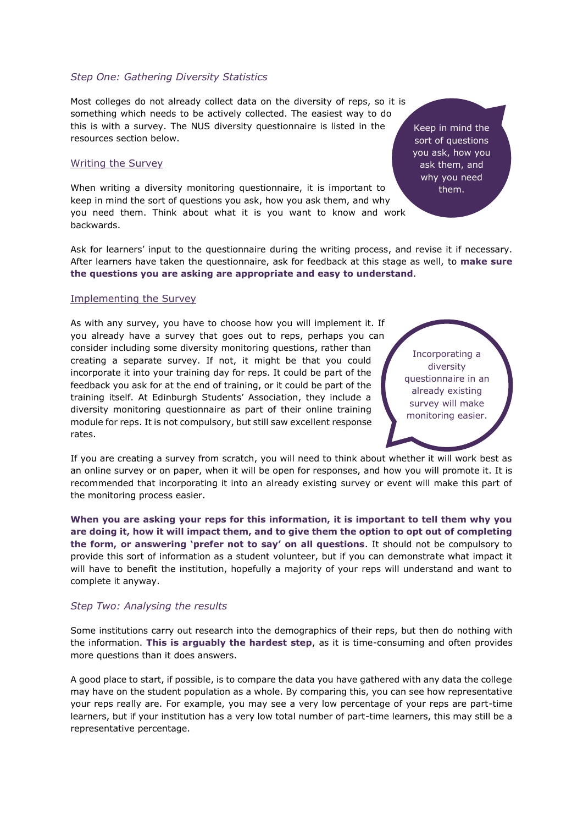#### *Step One: Gathering Diversity Statistics*

Most colleges do not already collect data on the diversity of reps, so it is something which needs to be actively collected. The easiest way to do this is with a survey. The NUS diversity questionnaire is listed in the resources section below.

#### Writing the Survey

When writing a diversity monitoring questionnaire, it is important to keep in mind the sort of questions you ask, how you ask them, and why you need them. Think about what it is you want to know and work backwards.

Keep in mind the sort of questions you ask, how you ask them, and why you need them.

Ask for learners' input to the questionnaire during the writing process, and revise it if necessary. After learners have taken the questionnaire, ask for feedback at this stage as well, to **make sure the questions you are asking are appropriate and easy to understand**.

#### Implementing the Survey

As with any survey, you have to choose how you will implement it. If you already have a survey that goes out to reps, perhaps you can consider including some diversity monitoring questions, rather than creating a separate survey. If not, it might be that you could incorporate it into your training day for reps. It could be part of the feedback you ask for at the end of training, or it could be part of the training itself. At Edinburgh Students' Association, they include a diversity monitoring questionnaire as part of their online training module for reps. It is not compulsory, but still saw excellent response rates.

Incorporating a diversity questionnaire in an already existing survey will make monitoring easier.

If you are creating a survey from scratch, you will need to think about whether it will work best as an online survey or on paper, when it will be open for responses, and how you will promote it. It is recommended that incorporating it into an already existing survey or event will make this part of the monitoring process easier.

**When you are asking your reps for this information, it is important to tell them why you are doing it, how it will impact them, and to give them the option to opt out of completing the form, or answering 'prefer not to say' on all questions**. It should not be compulsory to provide this sort of information as a student volunteer, but if you can demonstrate what impact it will have to benefit the institution, hopefully a majority of your reps will understand and want to complete it anyway.

#### *Step Two: Analysing the results*

Some institutions carry out research into the demographics of their reps, but then do nothing with the information. **This is arguably the hardest step**, as it is time-consuming and often provides more questions than it does answers.

A good place to start, if possible, is to compare the data you have gathered with any data the college may have on the student population as a whole. By comparing this, you can see how representative your reps really are. For example, you may see a very low percentage of your reps are part-time learners, but if your institution has a very low total number of part-time learners, this may still be a representative percentage.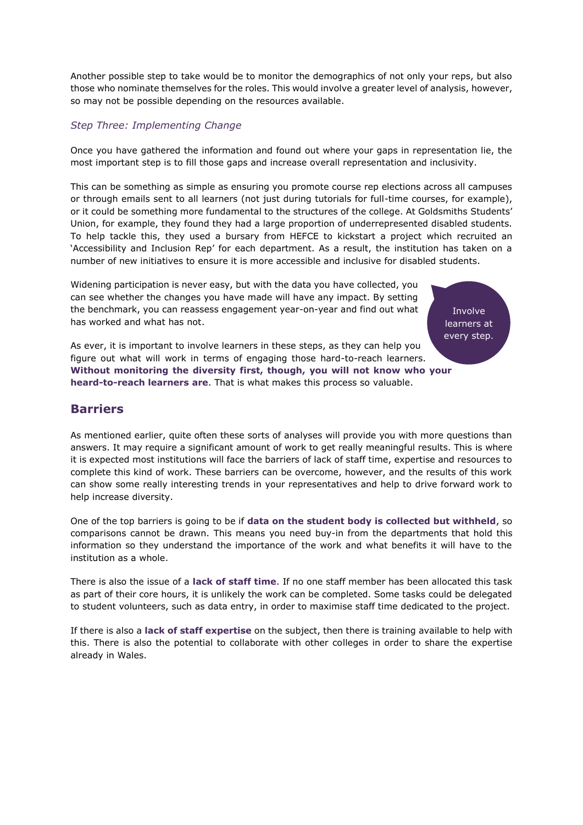Another possible step to take would be to monitor the demographics of not only your reps, but also those who nominate themselves for the roles. This would involve a greater level of analysis, however, so may not be possible depending on the resources available.

#### *Step Three: Implementing Change*

Once you have gathered the information and found out where your gaps in representation lie, the most important step is to fill those gaps and increase overall representation and inclusivity.

This can be something as simple as ensuring you promote course rep elections across all campuses or through emails sent to all learners (not just during tutorials for full-time courses, for example), or it could be something more fundamental to the structures of the college. At Goldsmiths Students' Union, for example, they found they had a large proportion of underrepresented disabled students. To help tackle this, they used a bursary from HEFCE to kickstart a project which recruited an 'Accessibility and Inclusion Rep' for each department. As a result, the institution has taken on a number of new initiatives to ensure it is more accessible and inclusive for disabled students.

Widening participation is never easy, but with the data you have collected, you can see whether the changes you have made will have any impact. By setting the benchmark, you can reassess engagement year-on-year and find out what has worked and what has not.

Involve learners at every step.

As ever, it is important to involve learners in these steps, as they can help you figure out what will work in terms of engaging those hard-to-reach learners. **Without monitoring the diversity first, though, you will not know who your heard-to-reach learners are**. That is what makes this process so valuable.

## **Barriers**

As mentioned earlier, quite often these sorts of analyses will provide you with more questions than answers. It may require a significant amount of work to get really meaningful results. This is where it is expected most institutions will face the barriers of lack of staff time, expertise and resources to complete this kind of work. These barriers can be overcome, however, and the results of this work can show some really interesting trends in your representatives and help to drive forward work to help increase diversity.

One of the top barriers is going to be if **data on the student body is collected but withheld**, so comparisons cannot be drawn. This means you need buy-in from the departments that hold this information so they understand the importance of the work and what benefits it will have to the institution as a whole.

There is also the issue of a **lack of staff time**. If no one staff member has been allocated this task as part of their core hours, it is unlikely the work can be completed. Some tasks could be delegated to student volunteers, such as data entry, in order to maximise staff time dedicated to the project.

If there is also a **lack of staff expertise** on the subject, then there is training available to help with this. There is also the potential to collaborate with other colleges in order to share the expertise already in Wales.